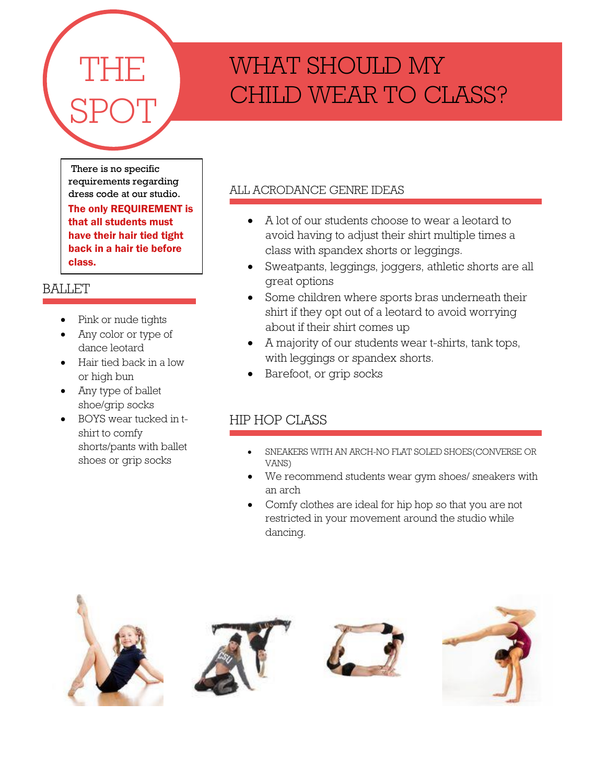# THE SPOT

# WHAT SHOULD MY CHILD WEAR TO CLASS?

There is no specific requirements regarding dress code at our studio. The only REQUIREMENT is that all students must have their hair tied tight back in a hair tie before class.

## **BALLET**

- Pink or nude tights
- Any color or type of dance leotard
- Hair tied back in a low or high bun
- Any type of ballet shoe/grip socks
- BOYS wear tucked in tshirt to comfy shorts/pants with ballet shoes or grip socks

### ALL ACRODANCE GENRE IDEAS

- A lot of our students choose to wear a leotard to avoid having to adjust their shirt multiple times a class with spandex shorts or leggings.
- Sweatpants, leggings, joggers, athletic shorts are all great options
- Some children where sports bras underneath their shirt if they opt out of a leotard to avoid worrying about if their shirt comes up
- A majority of our students wear t-shirts, tank tops, with leggings or spandex shorts.
- Barefoot, or grip socks

# HIP HOP CLASS

- SNEAKERS WITH AN ARCH-NO FLAT SOLED SHOES(CONVERSE OR VANS)
- We recommend students wear gym shoes/ sneakers with an arch
- Comfy clothes are ideal for hip hop so that you are not restricted in your movement around the studio while dancing.







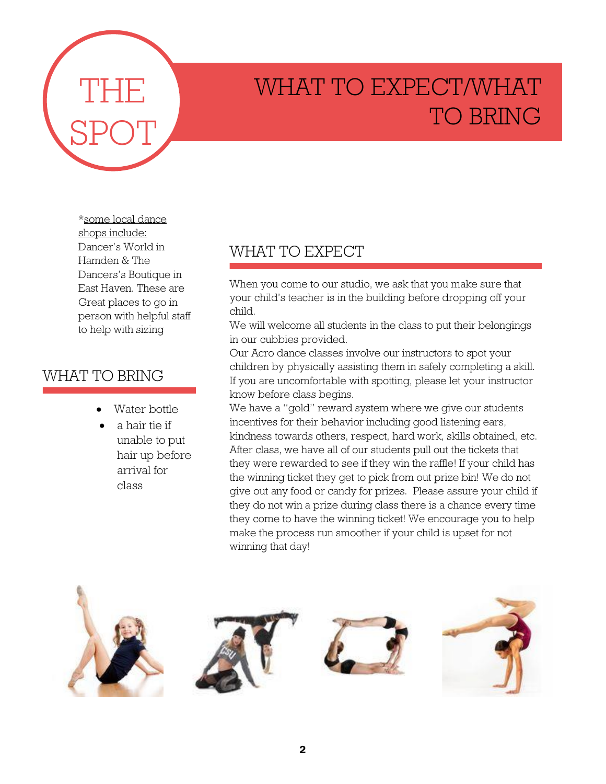

# WHAT TO EXPECT/WHAT TO BRING

\*some local dance shops include: Dancer's World in Hamden & The Dancers's Boutique in East Haven. These are Great places to go in person with helpful staff to help with sizing

# WHAT TO BRING

- Water bottle
- a hair tie if unable to put hair up before arrival for class

# WHAT TO EXPECT

When you come to our studio, we ask that you make sure that your child's teacher is in the building before dropping off your child.

We will welcome all students in the class to put their belongings in our cubbies provided.

Our Acro dance classes involve our instructors to spot your children by physically assisting them in safely completing a skill. If you are uncomfortable with spotting, please let your instructor know before class begins.

We have a "gold" reward system where we give our students incentives for their behavior including good listening ears, kindness towards others, respect, hard work, skills obtained, etc. After class, we have all of our students pull out the tickets that they were rewarded to see if they win the raffle! If your child has the winning ticket they get to pick from out prize bin! We do not give out any food or candy for prizes. Please assure your child if they do not win a prize during class there is a chance every time they come to have the winning ticket! We encourage you to help make the process run smoother if your child is upset for not winning that day!